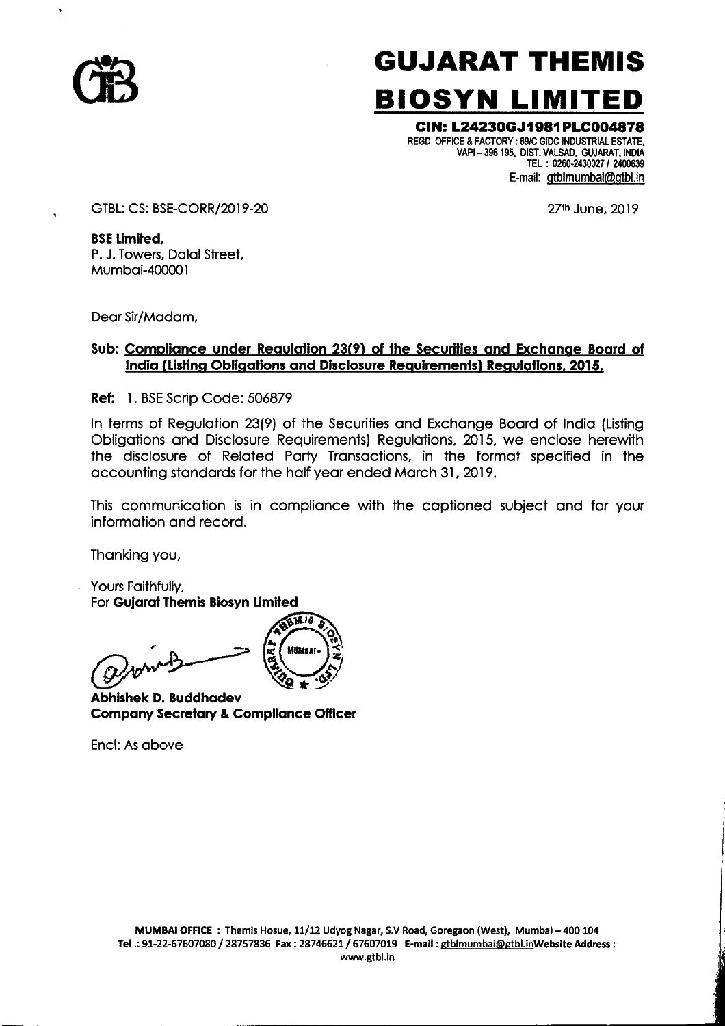

# GUJARAT THEMIS BIOSYN LIMITED

## GIN: L2423OGJ1 981 PLCOO4878

REGD. OFFICE & FACTORY : 69/0 GIDC INDUSTRIAL ESTATE, VAPI - 396 195, DIST. VALSAD, GUJARAT, INDIA TEL: 0260-2430027 / 2400639 E-mail: gtblmumbai@gtbl.in

GTBL: CS: BSE-CORR/2019-20 27th June, 2019

BSE Limited, P. J. Towers, Dalal Street, Mumbai-400001

Dear Sir/Madam,

## Sub: Compliance under Regulation 23(9) of the Securities and Exchange Board of India (Listing Obligations and Disclosure Requirements) Regulations, 2015.

Ref: 1. BSE Scrip Code: 506879

In terms of Regulation 23(9) of the Securities and Exchange Board of India (Listing Obligations and Disclosure Requirements) Regulations, 2015, we enclose herewith the disclosure of Related Party Transactions, in the format specified in the accounting standards for the half year ended March 31, 2019.

This communication is in compliance with the captioned subject and for your information and record.

Thanking you,

 Yours Faithfully, For Gujarat Themis Biosyn Limited



Abhishek D. Buddhadev Company Secretary & Compliance Officer

Encl: As above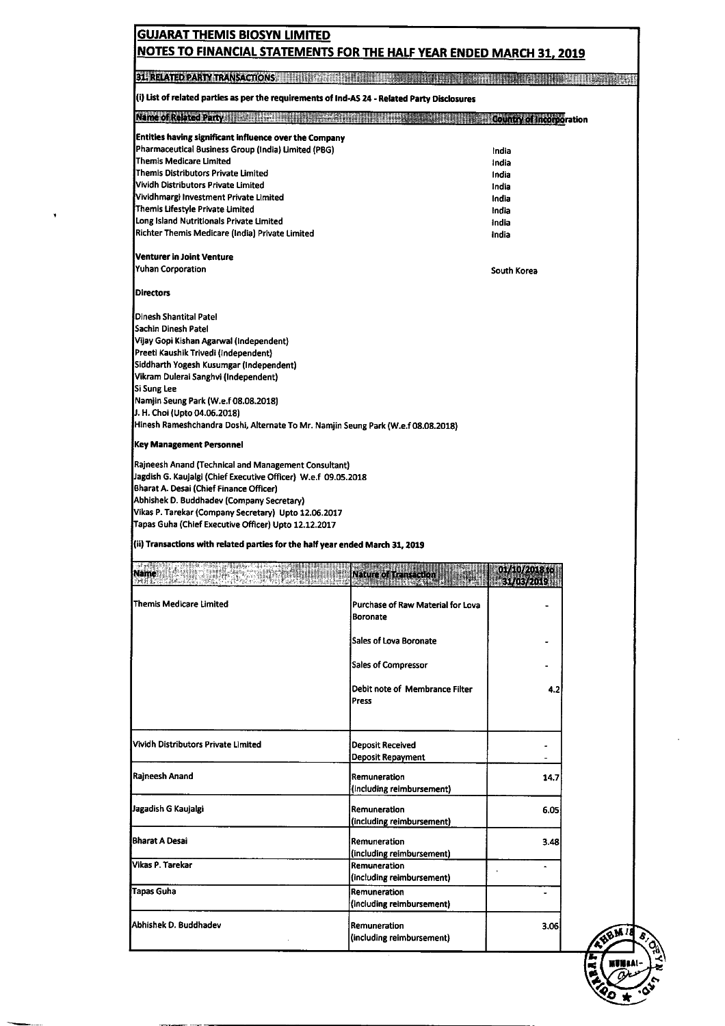| <b>31. RELATED PARTY TRANSACTIONS.</b>                                                                                                                                                                                                                                                                                                                                                                                                                                                                            |                                           |                                 | <b>RACCOUNTS</b> |
|-------------------------------------------------------------------------------------------------------------------------------------------------------------------------------------------------------------------------------------------------------------------------------------------------------------------------------------------------------------------------------------------------------------------------------------------------------------------------------------------------------------------|-------------------------------------------|---------------------------------|------------------|
| (i) List of related parties as per the requirements of Ind-AS 24 - Related Party Disclosures                                                                                                                                                                                                                                                                                                                                                                                                                      |                                           |                                 |                  |
| <b>Name of Related Party: 1988</b>                                                                                                                                                                                                                                                                                                                                                                                                                                                                                |                                           | <b>Country of Incorporation</b> |                  |
| <b>Entities having significant influence over the Company</b>                                                                                                                                                                                                                                                                                                                                                                                                                                                     |                                           |                                 |                  |
| Pharmaceutical Business Group (India) Limited (PBG)                                                                                                                                                                                                                                                                                                                                                                                                                                                               |                                           | India                           |                  |
| Themis Medicare Limited<br>Themis Distributors Private Limited                                                                                                                                                                                                                                                                                                                                                                                                                                                    |                                           | India<br>India                  |                  |
| Vividh Distributors Private Limited                                                                                                                                                                                                                                                                                                                                                                                                                                                                               |                                           | India                           |                  |
| Vividhmargi Investment Private Limited                                                                                                                                                                                                                                                                                                                                                                                                                                                                            |                                           | India                           |                  |
| Themis Lifestyle Private Limited                                                                                                                                                                                                                                                                                                                                                                                                                                                                                  |                                           | India                           |                  |
| Long Island Nutritionals Private Limited<br>Richter Themis Medicare (India) Private Limited                                                                                                                                                                                                                                                                                                                                                                                                                       |                                           | India<br>India                  |                  |
| Venturer in Joint Venture                                                                                                                                                                                                                                                                                                                                                                                                                                                                                         |                                           |                                 |                  |
| <b>Yuhan Corporation</b>                                                                                                                                                                                                                                                                                                                                                                                                                                                                                          |                                           | South Korea                     |                  |
| <b>Directors</b>                                                                                                                                                                                                                                                                                                                                                                                                                                                                                                  |                                           |                                 |                  |
| Dinesh Shantital Patel                                                                                                                                                                                                                                                                                                                                                                                                                                                                                            |                                           |                                 |                  |
| Sachin Dinesh Patel                                                                                                                                                                                                                                                                                                                                                                                                                                                                                               |                                           |                                 |                  |
| Vijay Gopi Kishan Agarwal (Independent)                                                                                                                                                                                                                                                                                                                                                                                                                                                                           |                                           |                                 |                  |
| Preeti Kaushik Trivedi (Independent)                                                                                                                                                                                                                                                                                                                                                                                                                                                                              |                                           |                                 |                  |
| Siddharth Yogesh Kusumgar (Independent)<br>Vikram Dulerai Sanghvi (Independent)                                                                                                                                                                                                                                                                                                                                                                                                                                   |                                           |                                 |                  |
| Si Sung Lee                                                                                                                                                                                                                                                                                                                                                                                                                                                                                                       |                                           |                                 |                  |
| Namjin Seung Park (W.e.f 08.08.2018)                                                                                                                                                                                                                                                                                                                                                                                                                                                                              |                                           |                                 |                  |
| J. H. Choi (Upto 04.06.2018)                                                                                                                                                                                                                                                                                                                                                                                                                                                                                      |                                           |                                 |                  |
| Hinesh Rameshchandra Doshi, Alternate To Mr. Namjin Seung Park (W.e.f 08.08.2018)                                                                                                                                                                                                                                                                                                                                                                                                                                 |                                           |                                 |                  |
|                                                                                                                                                                                                                                                                                                                                                                                                                                                                                                                   |                                           |                                 |                  |
|                                                                                                                                                                                                                                                                                                                                                                                                                                                                                                                   |                                           |                                 |                  |
|                                                                                                                                                                                                                                                                                                                                                                                                                                                                                                                   |                                           |                                 |                  |
|                                                                                                                                                                                                                                                                                                                                                                                                                                                                                                                   |                                           |                                 |                  |
|                                                                                                                                                                                                                                                                                                                                                                                                                                                                                                                   |                                           |                                 |                  |
|                                                                                                                                                                                                                                                                                                                                                                                                                                                                                                                   |                                           |                                 |                  |
|                                                                                                                                                                                                                                                                                                                                                                                                                                                                                                                   |                                           |                                 |                  |
|                                                                                                                                                                                                                                                                                                                                                                                                                                                                                                                   |                                           |                                 |                  |
|                                                                                                                                                                                                                                                                                                                                                                                                                                                                                                                   |                                           |                                 |                  |
| <b>BANK AND AN</b>                                                                                                                                                                                                                                                                                                                                                                                                                                                                                                | <b>Nature of Transaction</b>              | 01/10/2018 to<br>31/03/2019     |                  |
|                                                                                                                                                                                                                                                                                                                                                                                                                                                                                                                   | Purchase of Raw Material for Lova         |                                 |                  |
|                                                                                                                                                                                                                                                                                                                                                                                                                                                                                                                   | <b>Boronate</b>                           |                                 |                  |
|                                                                                                                                                                                                                                                                                                                                                                                                                                                                                                                   | Sales of Lova Boronate                    |                                 |                  |
|                                                                                                                                                                                                                                                                                                                                                                                                                                                                                                                   |                                           |                                 |                  |
| <b>Key Management Personnel</b><br>Rajneesh Anand (Technical and Management Consultant)<br>Jagdish G. Kaujalgi (Chief Executive Officer) W.e.f 09.05.2018<br>Bharat A. Desai (Chief Finance Officer)<br>Abhishek D. Buddhadev (Company Secretary)<br>Vikas P. Tarekar (Company Secretary) Upto 12.06.2017<br>Tapas Guha (Chief Executive Officer) Upto 12.12.2017<br>(ii) Transactions with related parties for the half year ended March 31, 2019<br>a material<br><b>Name</b><br><b>Themis Medicare Limited</b> | <b>Sales of Compressor</b>                |                                 |                  |
|                                                                                                                                                                                                                                                                                                                                                                                                                                                                                                                   | Debit note of Membrance Filter            | 4.2                             |                  |
|                                                                                                                                                                                                                                                                                                                                                                                                                                                                                                                   | Press                                     |                                 |                  |
|                                                                                                                                                                                                                                                                                                                                                                                                                                                                                                                   |                                           |                                 |                  |
|                                                                                                                                                                                                                                                                                                                                                                                                                                                                                                                   | <b>Deposit Received</b>                   |                                 |                  |
|                                                                                                                                                                                                                                                                                                                                                                                                                                                                                                                   | Deposit Repayment                         |                                 |                  |
| Vividh Distributors Private Limited<br>Rajneesh Anand                                                                                                                                                                                                                                                                                                                                                                                                                                                             | Remuneration<br>(including reimbursement) | 14.7                            |                  |
| Jagadish G Kaujalgi                                                                                                                                                                                                                                                                                                                                                                                                                                                                                               | Remuneration                              | 6.05                            |                  |
|                                                                                                                                                                                                                                                                                                                                                                                                                                                                                                                   | (including reimbursement)                 |                                 |                  |
|                                                                                                                                                                                                                                                                                                                                                                                                                                                                                                                   | Remuneration                              | 3.48                            |                  |
|                                                                                                                                                                                                                                                                                                                                                                                                                                                                                                                   | (including reimbursement)                 |                                 |                  |
| Bharat A Desai<br>Vikas P. Tarekar                                                                                                                                                                                                                                                                                                                                                                                                                                                                                | Remuneration<br>(including reimbursement) |                                 |                  |
| Tapas Guha                                                                                                                                                                                                                                                                                                                                                                                                                                                                                                        | Remuneration                              |                                 |                  |
|                                                                                                                                                                                                                                                                                                                                                                                                                                                                                                                   | (including reimbursement)                 |                                 |                  |
| Abhishek D. Buddhadev                                                                                                                                                                                                                                                                                                                                                                                                                                                                                             | Remuneration                              | 3.06                            |                  |

×